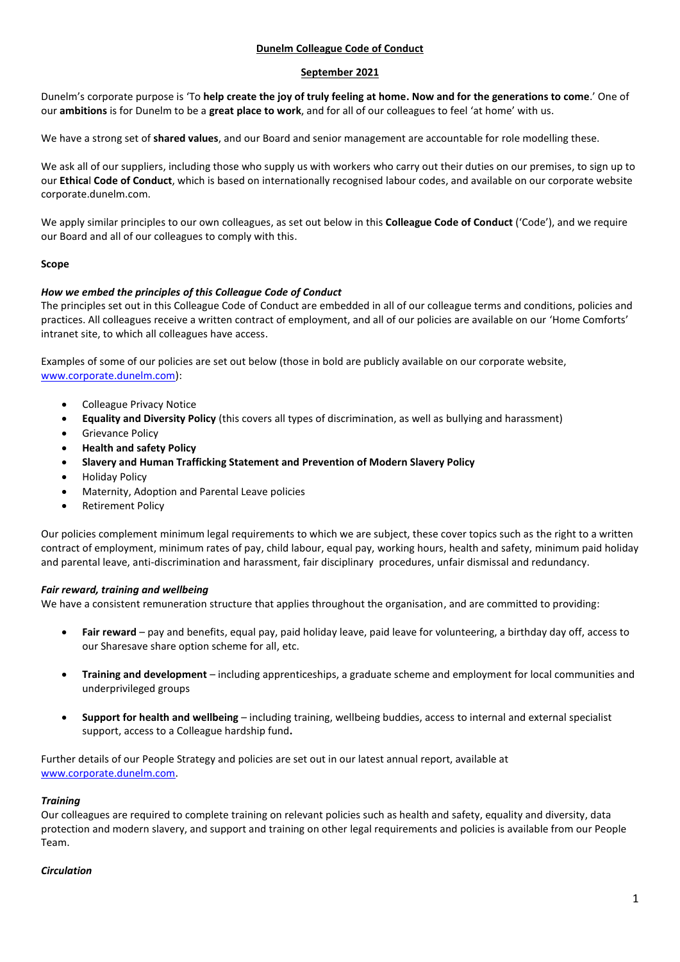### **Dunelm Colleague Code of Conduct**

### **September 2021**

Dunelm's corporate purpose is 'To **help create the joy of truly feeling at home. Now and for the generations to come**.' One of our **ambitions** is for Dunelm to be a **great place to work**, and for all of our colleagues to feel 'at home' with us.

We have a strong set of **shared values**, and our Board and senior management are accountable for role modelling these.

We ask all of our suppliers, including those who supply us with workers who carry out their duties on our premises, to sign up to our **Ethica**l **Code of Conduct**, which is based on internationally recognised labour codes, and available on our corporate website corporate.dunelm.com.

We apply similar principles to our own colleagues, as set out below in this **Colleague Code of Conduct** ('Code'), and we require our Board and all of our colleagues to comply with this.

### **Scope**

### *How we embed the principles of this Colleague Code of Conduct*

The principles set out in this Colleague Code of Conduct are embedded in all of our colleague terms and conditions, policies and practices. All colleagues receive a written contract of employment, and all of our policies are available on our 'Home Comforts' intranet site, to which all colleagues have access.

Examples of some of our policies are set out below (those in bold are publicly available on our corporate website, [www.corporate.dunelm.com\)](http://www.corporate.dunelm.com/):

- Colleague Privacy Notice
- **Equality and Diversity Policy** (this covers all types of discrimination, as well as bullying and harassment)
- Grievance Policy
- **Health and safety Policy**
- **Slavery and Human Trafficking Statement and Prevention of Modern Slavery Policy**
- Holiday Policy
- Maternity, Adoption and Parental Leave policies
- Retirement Policy

Our policies complement minimum legal requirements to which we are subject, these cover topics such as the right to a written contract of employment, minimum rates of pay, child labour, equal pay, working hours, health and safety, minimum paid holiday and parental leave, anti-discrimination and harassment, fair disciplinary procedures, unfair dismissal and redundancy.

### *Fair reward, training and wellbeing*

We have a consistent remuneration structure that applies throughout the organisation, and are committed to providing:

- **Fair reward** pay and benefits, equal pay, paid holiday leave, paid leave for volunteering, a birthday day off, access to our Sharesave share option scheme for all, etc.
- **Training and development** including apprenticeships, a graduate scheme and employment for local communities and underprivileged groups
- **Support for health and wellbeing** including training, wellbeing buddies, access to internal and external specialist support, access to a Colleague hardship fund**.**

Further details of our People Strategy and policies are set out in our latest annual report, available at [www.corporate.dunelm.com.](http://www.corporate.dunelm.com/)

### *Training*

Our colleagues are required to complete training on relevant policies such as health and safety, equality and diversity, data protection and modern slavery, and support and training on other legal requirements and policies is available from our People Team.

### *Circulation*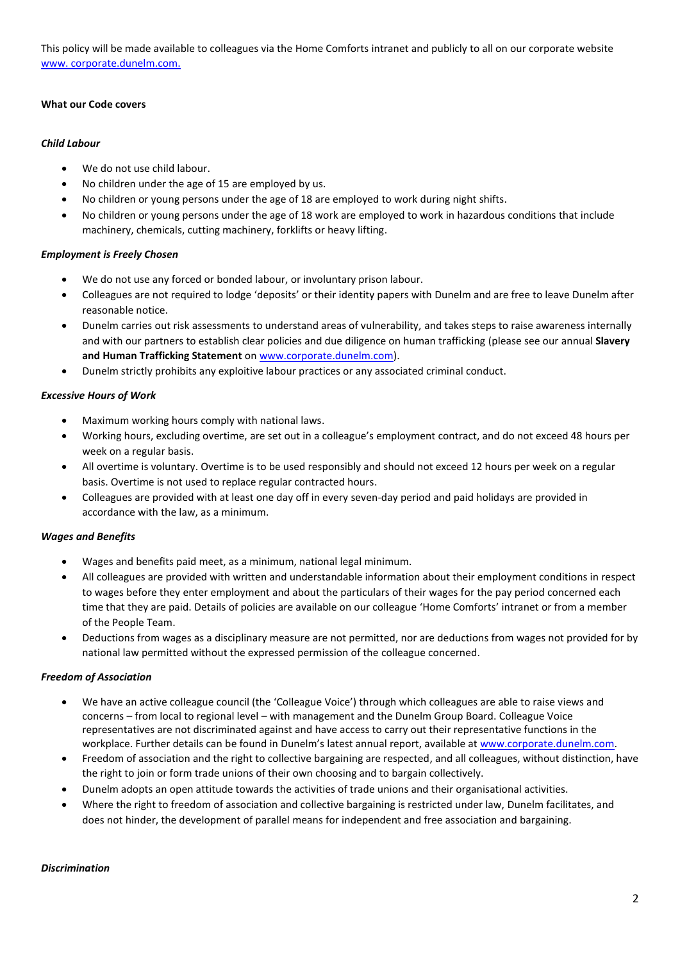This policy will be made available to colleagues via the Home Comforts intranet and publicly to all on our corporate website [www. corporate.dunelm.com.](http://www.corporate.dunelm.com/)

### **What our Code covers**

### *Child Labour*

- We do not use child labour.
- No children under the age of 15 are employed by us.
- No children or young persons under the age of 18 are employed to work during night shifts.
- No children or young persons under the age of 18 work are employed to work in hazardous conditions that include machinery, chemicals, cutting machinery, forklifts or heavy lifting.

### *Employment is Freely Chosen*

- We do not use any forced or bonded labour, or involuntary prison labour.
- Colleagues are not required to lodge 'deposits' or their identity papers with Dunelm and are free to leave Dunelm after reasonable notice.
- Dunelm carries out risk assessments to understand areas of vulnerability, and takes steps to raise awareness internally and with our partners to establish clear policies and due diligence on human trafficking (please see our annual **Slavery and Human Trafficking Statement** on [www.corporate.dunelm.com\)](http://www.corporate.dunelm.com/).
- Dunelm strictly prohibits any exploitive labour practices or any associated criminal conduct.

### *Excessive Hours of Work*

- Maximum working hours comply with national laws.
- Working hours, excluding overtime, are set out in a colleague's employment contract, and do not exceed 48 hours per week on a regular basis.
- All overtime is voluntary. Overtime is to be used responsibly and should not exceed 12 hours per week on a regular basis. Overtime is not used to replace regular contracted hours.
- Colleagues are provided with at least one day off in every seven-day period and paid holidays are provided in accordance with the law, as a minimum.

### *Wages and Benefits*

- Wages and benefits paid meet, as a minimum, national legal minimum.
- All colleagues are provided with written and understandable information about their employment conditions in respect to wages before they enter employment and about the particulars of their wages for the pay period concerned each time that they are paid. Details of policies are available on our colleague 'Home Comforts' intranet or from a member of the People Team.
- Deductions from wages as a disciplinary measure are not permitted, nor are deductions from wages not provided for by national law permitted without the expressed permission of the colleague concerned.

# *Freedom of Association*

- We have an active colleague council (the 'Colleague Voice') through which colleagues are able to raise views and concerns – from local to regional level – with management and the Dunelm Group Board. Colleague Voice representatives are not discriminated against and have access to carry out their representative functions in the workplace. Further details can be found in Dunelm's latest annual report, available a[t www.corporate.dunelm.com.](http://www.corporate.dunelm.com/)
- Freedom of association and the right to collective bargaining are respected, and all colleagues, without distinction, have the right to join or form trade unions of their own choosing and to bargain collectively.
- Dunelm adopts an open attitude towards the activities of trade unions and their organisational activities.
- Where the right to freedom of association and collective bargaining is restricted under law, Dunelm facilitates, and does not hinder, the development of parallel means for independent and free association and bargaining.

### *Discrimination*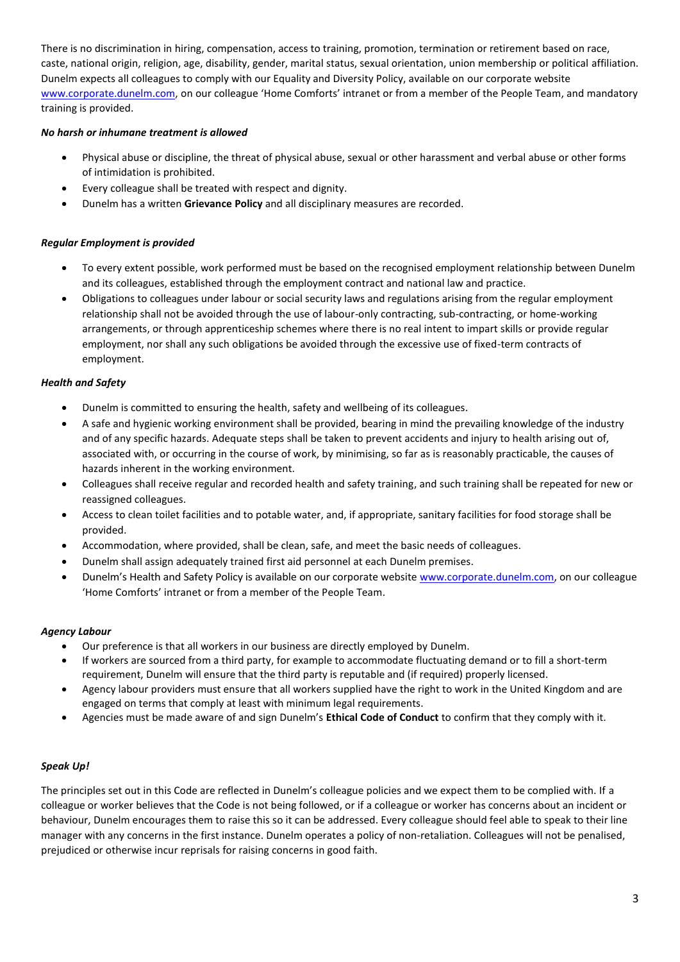There is no discrimination in hiring, compensation, access to training, promotion, termination or retirement based on race, caste, national origin, religion, age, disability, gender, marital status, sexual orientation, union membership or political affiliation. Dunelm expects all colleagues to comply with our Equality and Diversity Policy, available on our corporate website [www.corporate.dunelm.com,](http://www.corporate.dunelm.com/) on our colleague 'Home Comforts' intranet or from a member of the People Team, and mandatory training is provided.

# *No harsh or inhumane treatment is allowed*

- Physical abuse or discipline, the threat of physical abuse, sexual or other harassment and verbal abuse or other forms of intimidation is prohibited.
- Every colleague shall be treated with respect and dignity.
- Dunelm has a written **Grievance Policy** and all disciplinary measures are recorded.

# *Regular Employment is provided*

- To every extent possible, work performed must be based on the recognised employment relationship between Dunelm and its colleagues, established through the employment contract and national law and practice.
- Obligations to colleagues under labour or social security laws and regulations arising from the regular employment relationship shall not be avoided through the use of labour-only contracting, sub-contracting, or home-working arrangements, or through apprenticeship schemes where there is no real intent to impart skills or provide regular employment, nor shall any such obligations be avoided through the excessive use of fixed-term contracts of employment.

### *Health and Safety*

- Dunelm is committed to ensuring the health, safety and wellbeing of its colleagues.
- A safe and hygienic working environment shall be provided, bearing in mind the prevailing knowledge of the industry and of any specific hazards. Adequate steps shall be taken to prevent accidents and injury to health arising out of, associated with, or occurring in the course of work, by minimising, so far as is reasonably practicable, the causes of hazards inherent in the working environment.
- Colleagues shall receive regular and recorded health and safety training, and such training shall be repeated for new or reassigned colleagues.
- Access to clean toilet facilities and to potable water, and, if appropriate, sanitary facilities for food storage shall be provided.
- Accommodation, where provided, shall be clean, safe, and meet the basic needs of colleagues.
- Dunelm shall assign adequately trained first aid personnel at each Dunelm premises.
- Dunelm's Health and Safety Policy is available on our corporate websit[e www.corporate.dunelm.com,](http://www.corporate.dunelm.com/) on our colleague 'Home Comforts' intranet or from a member of the People Team.

# *Agency Labour*

- Our preference is that all workers in our business are directly employed by Dunelm.
- If workers are sourced from a third party, for example to accommodate fluctuating demand or to fill a short-term requirement, Dunelm will ensure that the third party is reputable and (if required) properly licensed.
- Agency labour providers must ensure that all workers supplied have the right to work in the United Kingdom and are engaged on terms that comply at least with minimum legal requirements.
- Agencies must be made aware of and sign Dunelm's **Ethical Code of Conduct** to confirm that they comply with it.

# *Speak Up!*

The principles set out in this Code are reflected in Dunelm's colleague policies and we expect them to be complied with. If a colleague or worker believes that the Code is not being followed, or if a colleague or worker has concerns about an incident or behaviour, Dunelm encourages them to raise this so it can be addressed. Every colleague should feel able to speak to their line manager with any concerns in the first instance. Dunelm operates a policy of non-retaliation. Colleagues will not be penalised, prejudiced or otherwise incur reprisals for raising concerns in good faith.